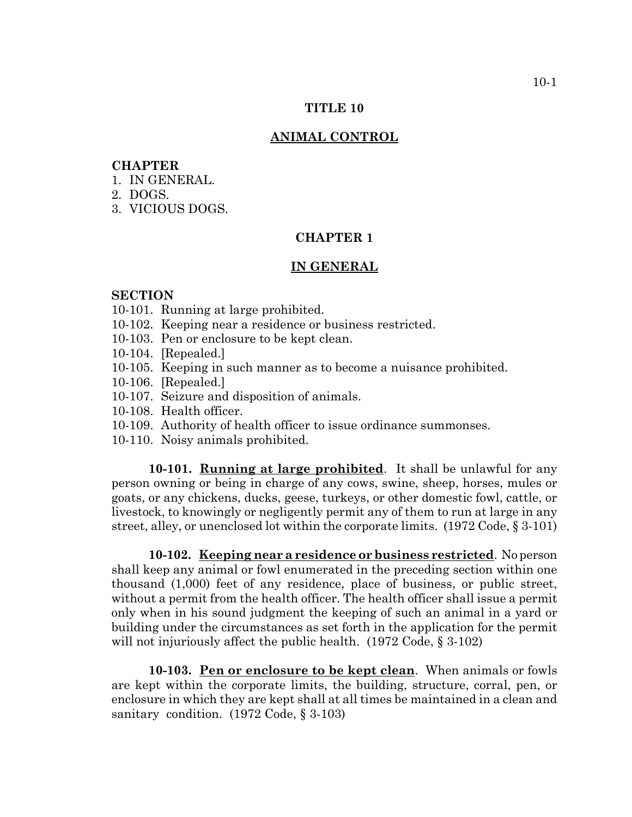## **TITLE 10**

#### **ANIMAL CONTROL**

# **CHAPTER**

- 1. IN GENERAL.
- 2. DOGS.
- 3. VICIOUS DOGS.

# **CHAPTER 1**

#### **IN GENERAL**

#### **SECTION**

- 10-101. Running at large prohibited.
- 10-102. Keeping near a residence or business restricted.
- 10-103. Pen or enclosure to be kept clean.
- 10-104. [Repealed.]
- 10-105. Keeping in such manner as to become a nuisance prohibited.
- 10-106. [Repealed.]
- 10-107. Seizure and disposition of animals.
- 10-108. Health officer.
- 10-109. Authority of health officer to issue ordinance summonses.
- 10-110. Noisy animals prohibited.

**10-101. Running at large prohibited**. It shall be unlawful for any person owning or being in charge of any cows, swine, sheep, horses, mules or goats, or any chickens, ducks, geese, turkeys, or other domestic fowl, cattle, or livestock, to knowingly or negligently permit any of them to run at large in any street, alley, or unenclosed lot within the corporate limits. (1972 Code, § 3-101)

**10-102. Keeping near a residence or business restricted**. No person shall keep any animal or fowl enumerated in the preceding section within one thousand (1,000) feet of any residence, place of business, or public street, without a permit from the health officer. The health officer shall issue a permit only when in his sound judgment the keeping of such an animal in a yard or building under the circumstances as set forth in the application for the permit will not injuriously affect the public health. (1972 Code, § 3-102)

**10-103. Pen or enclosure to be kept clean**. When animals or fowls are kept within the corporate limits, the building, structure, corral, pen, or enclosure in which they are kept shall at all times be maintained in a clean and sanitary condition. (1972 Code, § 3-103)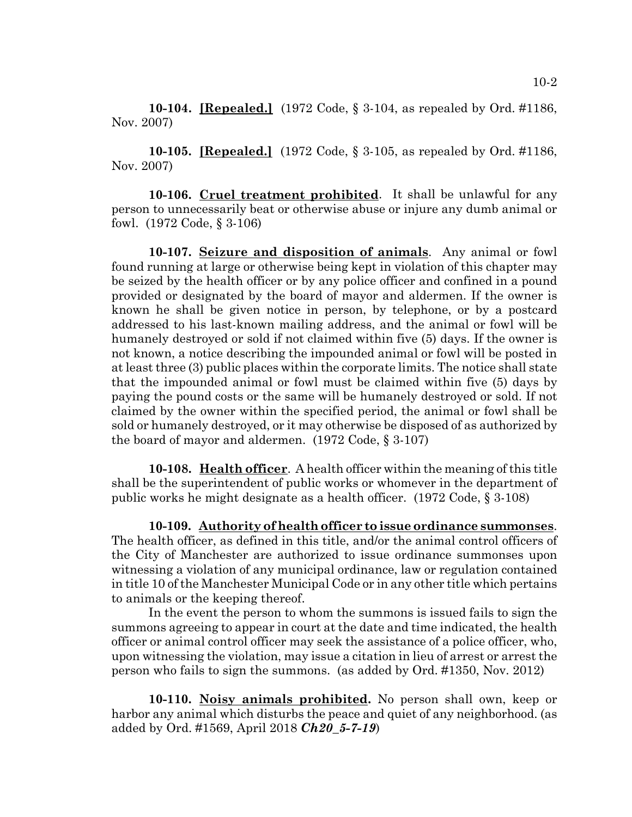**10-104. [Repealed.]** (1972 Code, § 3-104, as repealed by Ord. #1186, Nov. 2007)

**10-105. [Repealed.]** (1972 Code, § 3-105, as repealed by Ord. #1186, Nov. 2007)

**10-106. Cruel treatment prohibited**. It shall be unlawful for any person to unnecessarily beat or otherwise abuse or injure any dumb animal or fowl. (1972 Code, § 3-106)

**10-107. Seizure and disposition of animals**. Any animal or fowl found running at large or otherwise being kept in violation of this chapter may be seized by the health officer or by any police officer and confined in a pound provided or designated by the board of mayor and aldermen. If the owner is known he shall be given notice in person, by telephone, or by a postcard addressed to his last-known mailing address, and the animal or fowl will be humanely destroyed or sold if not claimed within five (5) days. If the owner is not known, a notice describing the impounded animal or fowl will be posted in at least three (3) public places within the corporate limits. The notice shall state that the impounded animal or fowl must be claimed within five (5) days by paying the pound costs or the same will be humanely destroyed or sold. If not claimed by the owner within the specified period, the animal or fowl shall be sold or humanely destroyed, or it may otherwise be disposed of as authorized by the board of mayor and aldermen. (1972 Code, § 3-107)

**10-108. Health officer**. A health officer within the meaning of this title shall be the superintendent of public works or whomever in the department of public works he might designate as a health officer. (1972 Code, § 3-108)

**10-109. Authority of health officer to issue ordinance summonses**. The health officer, as defined in this title, and/or the animal control officers of the City of Manchester are authorized to issue ordinance summonses upon witnessing a violation of any municipal ordinance, law or regulation contained in title 10 of the Manchester Municipal Code or in any other title which pertains to animals or the keeping thereof.

In the event the person to whom the summons is issued fails to sign the summons agreeing to appear in court at the date and time indicated, the health officer or animal control officer may seek the assistance of a police officer, who, upon witnessing the violation, may issue a citation in lieu of arrest or arrest the person who fails to sign the summons. (as added by Ord. #1350, Nov. 2012)

**10-110. Noisy animals prohibited.** No person shall own, keep or harbor any animal which disturbs the peace and quiet of any neighborhood. (as added by Ord. #1569, April 2018 *Ch20\_5-7-19*)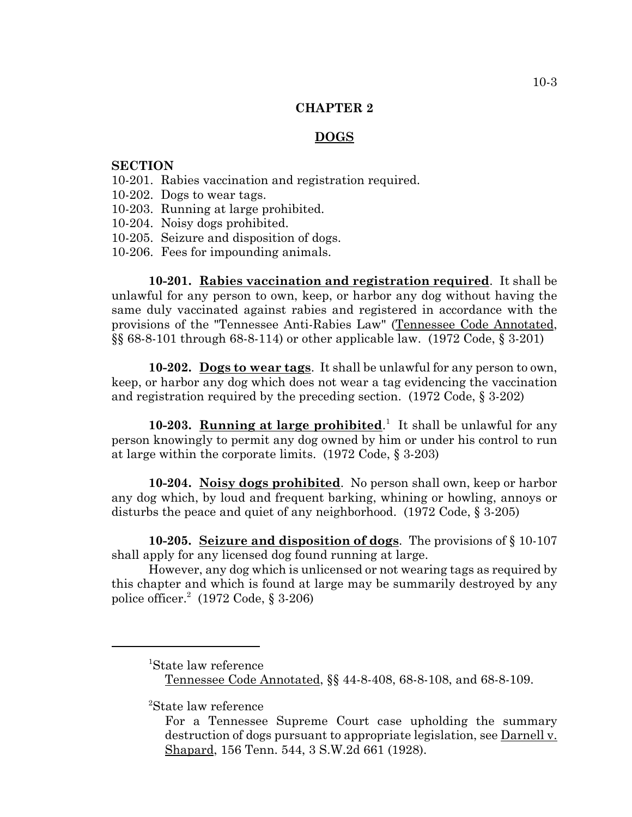## **CHAPTER 2**

# **DOGS**

## **SECTION**

- 10-201. Rabies vaccination and registration required.
- 10-202. Dogs to wear tags.
- 10-203. Running at large prohibited.
- 10-204. Noisy dogs prohibited.
- 10-205. Seizure and disposition of dogs.
- 10-206. Fees for impounding animals.

**10-201. Rabies vaccination and registration required**. It shall be unlawful for any person to own, keep, or harbor any dog without having the same duly vaccinated against rabies and registered in accordance with the provisions of the "Tennessee Anti-Rabies Law" (Tennessee Code Annotated, §§ 68-8-101 through 68-8-114) or other applicable law. (1972 Code, § 3-201)

**10-202. Dogs to wear tags**. It shall be unlawful for any person to own, keep, or harbor any dog which does not wear a tag evidencing the vaccination and registration required by the preceding section. (1972 Code, § 3-202)

10-203. **Running at large prohibited**.<sup>1</sup> It shall be unlawful for any person knowingly to permit any dog owned by him or under his control to run at large within the corporate limits. (1972 Code, § 3-203)

**10-204. Noisy dogs prohibited**. No person shall own, keep or harbor any dog which, by loud and frequent barking, whining or howling, annoys or disturbs the peace and quiet of any neighborhood. (1972 Code, § 3-205)

**10-205. Seizure and disposition of dogs**. The provisions of § 10-107 shall apply for any licensed dog found running at large.

However, any dog which is unlicensed or not wearing tags as required by this chapter and which is found at large may be summarily destroyed by any police officer.<sup>2</sup> (1972 Code, § 3-206)

2 State law reference

<sup>1</sup> State law reference Tennessee Code Annotated, §§ 44-8-408, 68-8-108, and 68-8-109.

For a Tennessee Supreme Court case upholding the summary destruction of dogs pursuant to appropriate legislation, see Darnell v. Shapard, 156 Tenn. 544, 3 S.W.2d 661 (1928).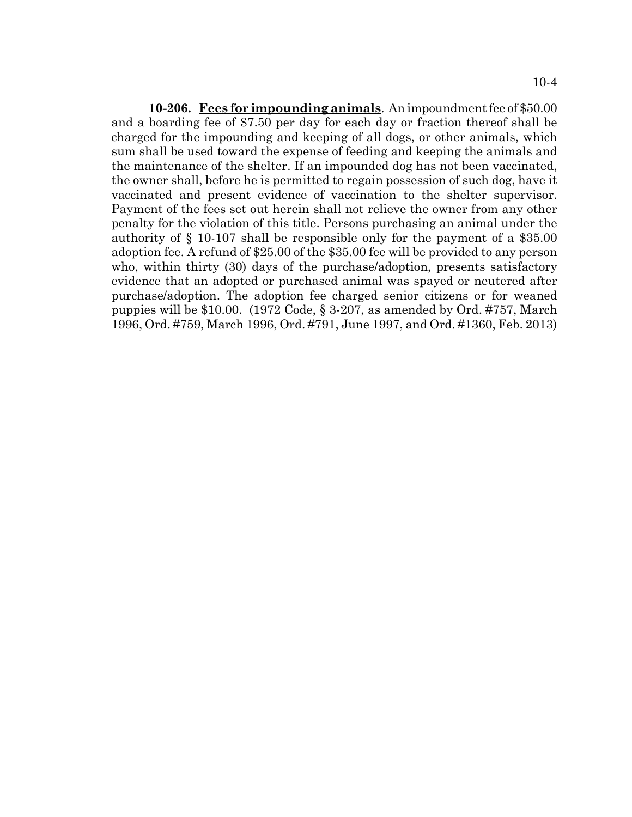**10-206. Fees for impounding animals**. An impoundment fee of \$50.00 and a boarding fee of \$7.50 per day for each day or fraction thereof shall be charged for the impounding and keeping of all dogs, or other animals, which sum shall be used toward the expense of feeding and keeping the animals and the maintenance of the shelter. If an impounded dog has not been vaccinated, the owner shall, before he is permitted to regain possession of such dog, have it vaccinated and present evidence of vaccination to the shelter supervisor. Payment of the fees set out herein shall not relieve the owner from any other penalty for the violation of this title. Persons purchasing an animal under the authority of § 10-107 shall be responsible only for the payment of a \$35.00 adoption fee. A refund of \$25.00 of the \$35.00 fee will be provided to any person who, within thirty (30) days of the purchase/adoption, presents satisfactory evidence that an adopted or purchased animal was spayed or neutered after purchase/adoption. The adoption fee charged senior citizens or for weaned puppies will be \$10.00. (1972 Code, § 3-207, as amended by Ord. #757, March 1996, Ord. #759, March 1996, Ord. #791, June 1997, and Ord. #1360, Feb. 2013)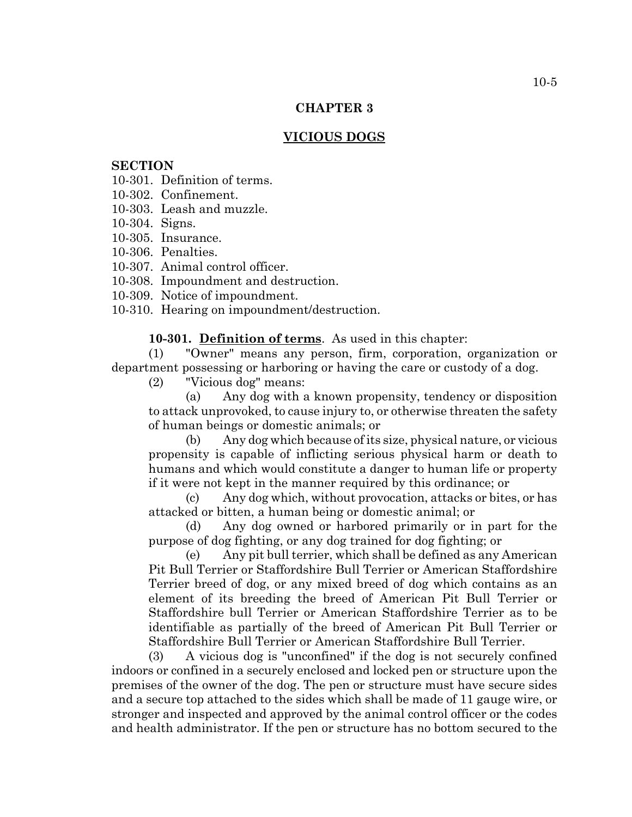## **CHAPTER 3**

# **VICIOUS DOGS**

## **SECTION**

10-301. Definition of terms.

- 10-302. Confinement.
- 10-303. Leash and muzzle.
- 10-304. Signs.
- 10-305. Insurance.
- 10-306. Penalties.
- 10-307. Animal control officer.
- 10-308. Impoundment and destruction.
- 10-309. Notice of impoundment.
- 10-310. Hearing on impoundment/destruction.

**10-301. Definition of terms**. As used in this chapter:

(1) "Owner" means any person, firm, corporation, organization or department possessing or harboring or having the care or custody of a dog.

(2) "Vicious dog" means:

(a) Any dog with a known propensity, tendency or disposition to attack unprovoked, to cause injury to, or otherwise threaten the safety of human beings or domestic animals; or

(b) Any dog which because of its size, physical nature, or vicious propensity is capable of inflicting serious physical harm or death to humans and which would constitute a danger to human life or property if it were not kept in the manner required by this ordinance; or

(c) Any dog which, without provocation, attacks or bites, or has attacked or bitten, a human being or domestic animal; or

(d) Any dog owned or harbored primarily or in part for the purpose of dog fighting, or any dog trained for dog fighting; or

(e) Any pit bull terrier, which shall be defined as any American Pit Bull Terrier or Staffordshire Bull Terrier or American Staffordshire Terrier breed of dog, or any mixed breed of dog which contains as an element of its breeding the breed of American Pit Bull Terrier or Staffordshire bull Terrier or American Staffordshire Terrier as to be identifiable as partially of the breed of American Pit Bull Terrier or Staffordshire Bull Terrier or American Staffordshire Bull Terrier.

(3) A vicious dog is "unconfined" if the dog is not securely confined indoors or confined in a securely enclosed and locked pen or structure upon the premises of the owner of the dog. The pen or structure must have secure sides and a secure top attached to the sides which shall be made of 11 gauge wire, or stronger and inspected and approved by the animal control officer or the codes and health administrator. If the pen or structure has no bottom secured to the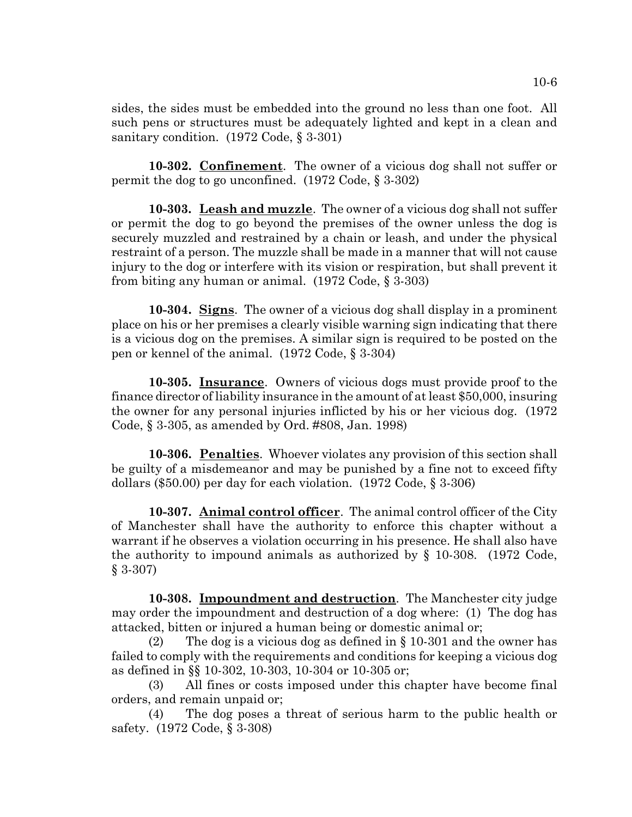sides, the sides must be embedded into the ground no less than one foot. All such pens or structures must be adequately lighted and kept in a clean and sanitary condition. (1972 Code, § 3-301)

**10-302. Confinement**. The owner of a vicious dog shall not suffer or permit the dog to go unconfined. (1972 Code, § 3-302)

**10-303. Leash and muzzle**. The owner of a vicious dog shall not suffer or permit the dog to go beyond the premises of the owner unless the dog is securely muzzled and restrained by a chain or leash, and under the physical restraint of a person. The muzzle shall be made in a manner that will not cause injury to the dog or interfere with its vision or respiration, but shall prevent it from biting any human or animal. (1972 Code, § 3-303)

**10-304. Signs**. The owner of a vicious dog shall display in a prominent place on his or her premises a clearly visible warning sign indicating that there is a vicious dog on the premises. A similar sign is required to be posted on the pen or kennel of the animal. (1972 Code, § 3-304)

**10-305. Insurance**. Owners of vicious dogs must provide proof to the finance director of liability insurance in the amount of at least \$50,000, insuring the owner for any personal injuries inflicted by his or her vicious dog. (1972 Code, § 3-305, as amended by Ord. #808, Jan. 1998)

**10-306. Penalties**. Whoever violates any provision of this section shall be guilty of a misdemeanor and may be punished by a fine not to exceed fifty dollars (\$50.00) per day for each violation. (1972 Code, § 3-306)

**10-307. Animal control officer**. The animal control officer of the City of Manchester shall have the authority to enforce this chapter without a warrant if he observes a violation occurring in his presence. He shall also have the authority to impound animals as authorized by § 10-308. (1972 Code, § 3-307)

**10-308. Impoundment and destruction**. The Manchester city judge may order the impoundment and destruction of a dog where: (1) The dog has attacked, bitten or injured a human being or domestic animal or;

(2) The dog is a vicious dog as defined in  $\S$  10-301 and the owner has failed to comply with the requirements and conditions for keeping a vicious dog as defined in §§ 10-302, 10-303, 10-304 or 10-305 or;

(3) All fines or costs imposed under this chapter have become final orders, and remain unpaid or;

(4) The dog poses a threat of serious harm to the public health or safety. (1972 Code, § 3-308)